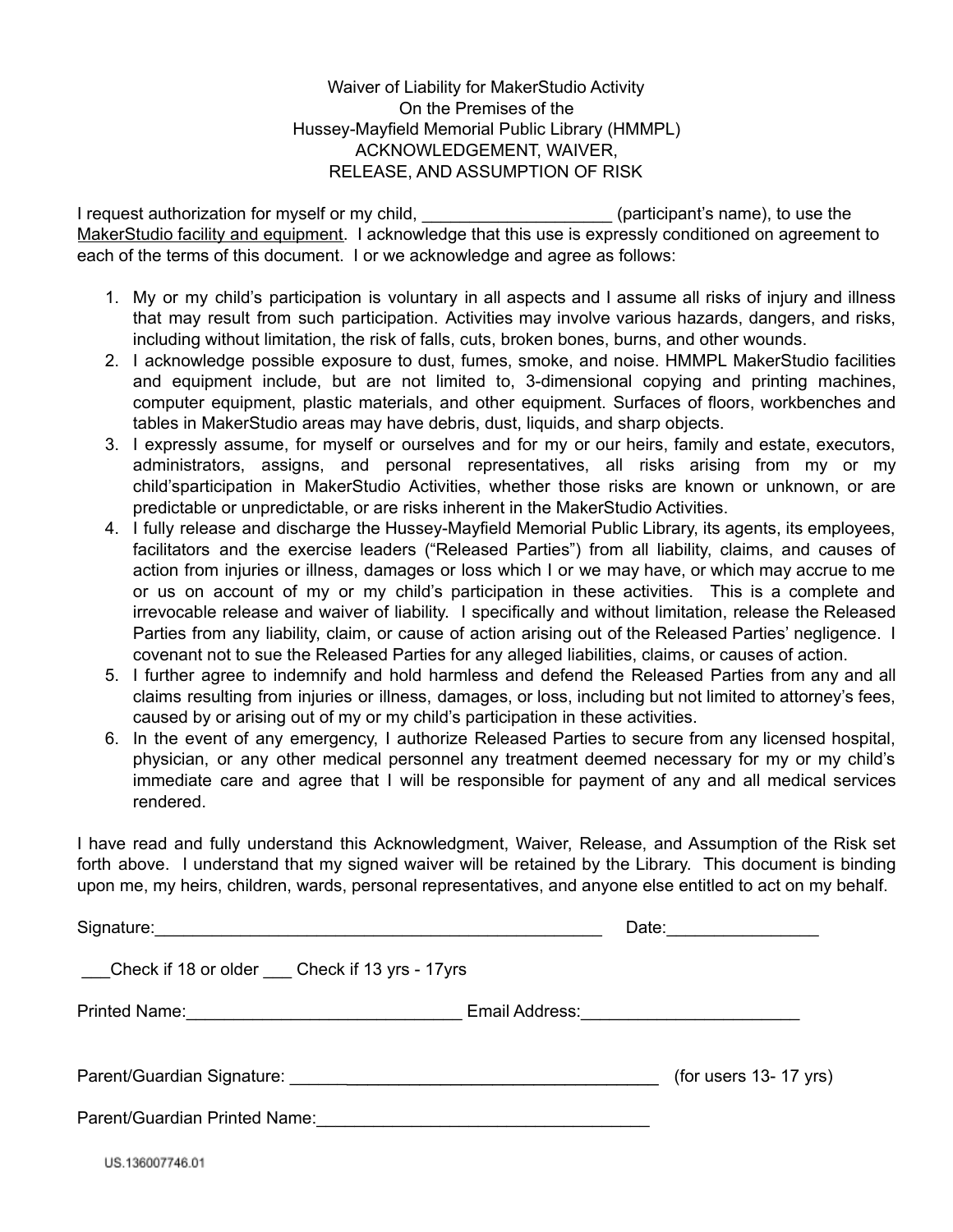Waiver of Liability for MakerStudio Activity On the Premises of the Hussey-Mayfield Memorial Public Library (HMMPL) ACKNOWLEDGEMENT, WAIVER, RELEASE, AND ASSUMPTION OF RISK

I request authorization for myself or my child, \_\_\_\_\_\_\_\_\_\_\_\_\_\_\_\_\_\_\_\_\_(participant's name), to use the MakerStudio facility and equipment. I acknowledge that this use is expressly conditioned on agreement to each of the terms of this document. I or we acknowledge and agree as follows:

- 1. My or my child's participation is voluntary in all aspects and I assume all risks of injury and illness that may result from such participation. Activities may involve various hazards, dangers, and risks, including without limitation, the risk of falls, cuts, broken bones, burns, and other wounds.
- 2. I acknowledge possible exposure to dust, fumes, smoke, and noise. HMMPL MakerStudio facilities and equipment include, but are not limited to, 3-dimensional copying and printing machines, computer equipment, plastic materials, and other equipment. Surfaces of floors, workbenches and tables in MakerStudio areas may have debris, dust, liquids, and sharp objects.
- 3. I expressly assume, for myself or ourselves and for my or our heirs, family and estate, executors, administrators, assigns, and personal representatives, all risks arising from my or my child'sparticipation in MakerStudio Activities, whether those risks are known or unknown, or are predictable or unpredictable, or are risks inherent in the MakerStudio Activities.
- 4. I fully release and discharge the Hussey-Mayfield Memorial Public Library, its agents, its employees, facilitators and the exercise leaders ("Released Parties") from all liability, claims, and causes of action from injuries or illness, damages or loss which I or we may have, or which may accrue to me or us on account of my or my child's participation in these activities. This is a complete and irrevocable release and waiver of liability. I specifically and without limitation, release the Released Parties from any liability, claim, or cause of action arising out of the Released Parties' negligence. I covenant not to sue the Released Parties for any alleged liabilities, claims, or causes of action.
- 5. I further agree to indemnify and hold harmless and defend the Released Parties from any and all claims resulting from injuries or illness, damages, or loss, including but not limited to attorney's fees, caused by or arising out of my or my child's participation in these activities.
- 6. In the event of any emergency, I authorize Released Parties to secure from any licensed hospital, physician, or any other medical personnel any treatment deemed necessary for my or my child's immediate care and agree that I will be responsible for payment of any and all medical services rendered.

I have read and fully understand this Acknowledgment, Waiver, Release, and Assumption of the Risk set forth above. I understand that my signed waiver will be retained by the Library. This document is binding upon me, my heirs, children, wards, personal representatives, and anyone else entitled to act on my behalf.

|                                                     | Date: 2000                                       |  |
|-----------------------------------------------------|--------------------------------------------------|--|
| ___Check if 18 or older ____Check if 13 yrs - 17yrs |                                                  |  |
|                                                     | Email Address: <u>__________________________</u> |  |
|                                                     | (for users $13 - 17$ yrs)                        |  |
| Parent/Guardian Printed Name:                       |                                                  |  |
| US.136007746.01                                     |                                                  |  |